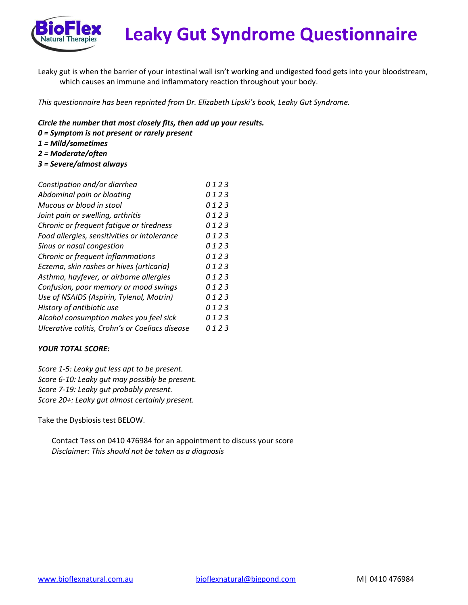

## **Leaky Gut Syndrome Questionnaire**

Leaky gut is when the barrier of your intestinal wall isn't working and undigested food gets into your bloodstream, which causes an immune and inflammatory reaction throughout your body.

*This questionnaire has been reprinted from Dr. Elizabeth Lipski's book, Leaky Gut Syndrome.*

*Circle the number that most closely fits, then add up your results.*

- *0 = Symptom is not present or rarely present*
- *1 = Mild/sometimes*
- *2 = Moderate/often*
- *3 = Severe/almost always*

| 0123 |
|------|
| 0123 |
| 0123 |
| 0123 |
| 0123 |
| 0123 |
| 0123 |
| 0123 |
| 0123 |
| 0123 |
| 0123 |
| 0123 |
| 0123 |
| 0123 |
| 0123 |
|      |

## *YOUR TOTAL SCORE:*

*Score 1-5: Leaky gut less apt to be present. Score 6-10: Leaky gut may possibly be present. Score 7-19: Leaky gut probably present. Score 20+: Leaky gut almost certainly present.*

Take the Dysbiosis test BELOW.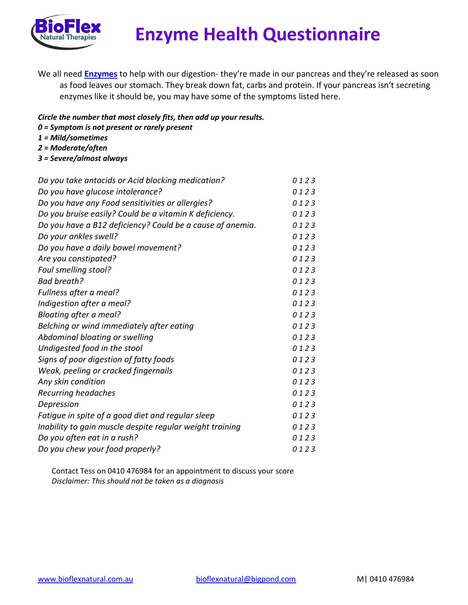

## **Enzyme Health Questionnaire**

- We all need **[Enzymes](http://thehealthyapple.com/enzymes/)** to help with our digestion- they're made in our pancreas and they're released as soon as food leaves our stomach. They break down fat, carbs and protein. If your pancreas isn't secreting enzymes like it should be, you may have some of the symptoms listed here.
- *Circle the number that most closely fits, then add up your results.*
- *0 = Symptom is not present or rarely present*
- *1 = Mild/sometimes*
- *2 = Moderate/often*
- *3 = Severe/almost always*

| Do you take antacids or Acid blocking medication?         | 0123 |
|-----------------------------------------------------------|------|
| Do you have glucose intolerance?                          | 0123 |
| Do you have any Food sensitivities or allergies?          | 0123 |
| Do you bruise easily? Could be a vitamin K deficiency.    | 0123 |
| Do you have a B12 deficiency? Could be a cause of anemia. | 0123 |
| Do your ankles swell?                                     | 0123 |
| Do you have a daily bowel movement?                       | 0123 |
| Are you constipated?                                      | 0123 |
| Foul smelling stool?                                      | 0123 |
| Bad breath?                                               | 0123 |
| Fullness after a meal?                                    | 0123 |
| Indigestion after a meal?                                 | 0123 |
| Bloating after a meal?                                    | 0123 |
| Belching or wind immediately after eating                 | 0123 |
| Abdominal bloating or swelling                            | 0123 |
| Undigested food in the stool                              | 0123 |
| Signs of poor digestion of fatty foods                    | 0123 |
| Weak, peeling or cracked fingernails                      | 0123 |
| Any skin condition                                        | 0123 |
| Recurring headaches                                       | 0123 |
| Depression                                                | 0123 |
| Fatigue in spite of a good diet and regular sleep         | 0123 |
| Inability to gain muscle despite regular weight training  | 0123 |
| Do you often eat in a rush?                               | 0123 |
| Do you chew your food properly?                           | 0123 |
|                                                           |      |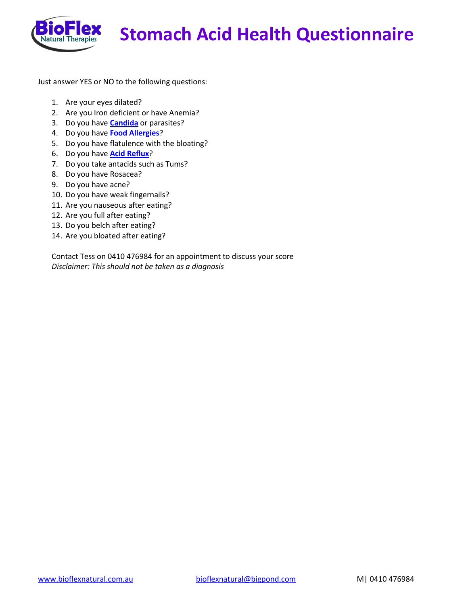

Just answer YES or NO to the following questions:

- 1. Are your eyes dilated?
- 2. Are you Iron deficient or have Anemia?
- 3. Do you have **[Candida](http://thehealthyapple.com/candida/)** or parasites?
- 4. Do you have **[Food Allergies](http://thehealthyapple.com/food-allergy-vs-food-intolerance/)**?
- 5. Do you have flatulence with the bloating?
- 6. Do you have **[Acid Reflux](http://thehealthyapple.com/acid-reflux/)**?
- 7. Do you take antacids such as Tums?
- 8. Do you have Rosacea?
- 9. Do you have acne?
- 10. Do you have weak fingernails?
- 11. Are you nauseous after eating?
- 12. Are you full after eating?
- 13. Do you belch after eating?
- 14. Are you bloated after eating?